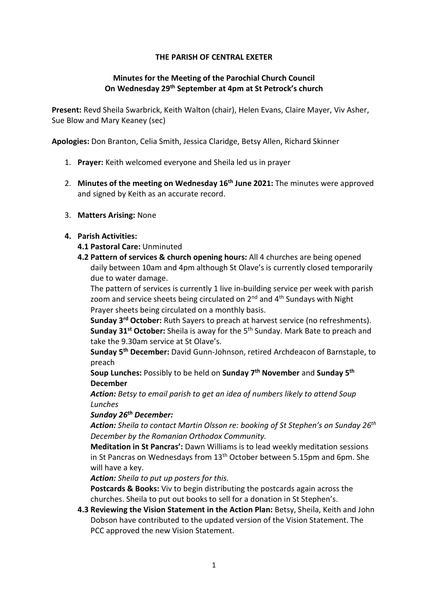## THE PARISH OF CENTRAL EXETER

## Minutes for the Meeting of the Parochial Church Council On Wednesday 29th September at 4pm at St Petrock's church

Present: Revd Sheila Swarbrick, Keith Walton (chair), Helen Evans, Claire Mayer, Viv Asher, Sue Blow and Mary Keaney (sec)

Apologies: Don Branton, Celia Smith, Jessica Claridge, Betsy Allen, Richard Skinner

- 1. Prayer: Keith welcomed everyone and Sheila led us in prayer
- 2. Minutes of the meeting on Wednesday 16<sup>th</sup> June 2021: The minutes were approved and signed by Keith as an accurate record.
- 3. Matters Arising: None

### 4. Parish Activities:

### 4.1 Pastoral Care: Unminuted

4.2 Pattern of services & church opening hours: All 4 churches are being opened daily between 10am and 4pm although St Olave's is currently closed temporarily due to water damage.

The pattern of services is currently 1 live in-building service per week with parish zoom and service sheets being circulated on  $2<sup>nd</sup>$  and  $4<sup>th</sup>$  Sundays with Night Prayer sheets being circulated on a monthly basis.

Sunday 3<sup>rd</sup> October: Ruth Sayers to preach at harvest service (no refreshments). Sunday 31<sup>st</sup> October: Sheila is away for the 5<sup>th</sup> Sunday. Mark Bate to preach and take the 9.30am service at St Olave's.

Sunday 5<sup>th</sup> December: David Gunn-Johnson, retired Archdeacon of Barnstaple, to preach

Soup Lunches: Possibly to be held on Sunday 7<sup>th</sup> November and Sunday 5<sup>th</sup> December

Action: Betsy to email parish to get an idea of numbers likely to attend Soup Lunches

### Sunday 26<sup>th</sup> December:

**Action:** Sheila to contact Martin Olsson re: booking of St Stephen's on Sunday 26<sup>th</sup> December by the Romanian Orthodox Community.

Meditation in St Pancras': Dawn Williams is to lead weekly meditation sessions in St Pancras on Wednesdays from 13th October between 5.15pm and 6pm. She will have a key.

Action: Sheila to put up posters for this.

Postcards & Books: Viv to begin distributing the postcards again across the churches. Sheila to put out books to sell for a donation in St Stephen's.

4.3 Reviewing the Vision Statement in the Action Plan: Betsy, Sheila, Keith and John Dobson have contributed to the updated version of the Vision Statement. The PCC approved the new Vision Statement.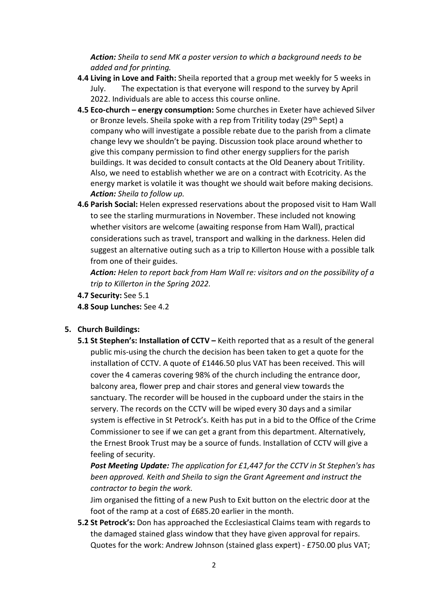Action: Sheila to send MK a poster version to which a background needs to be added and for printing.

- 4.4 Living in Love and Faith: Sheila reported that a group met weekly for 5 weeks in July. The expectation is that everyone will respond to the survey by April 2022. Individuals are able to access this course online.
- 4.5 Eco-church energy consumption: Some churches in Exeter have achieved Silver or Bronze levels. Sheila spoke with a rep from Tritility today (29<sup>th</sup> Sept) a company who will investigate a possible rebate due to the parish from a climate change levy we shouldn't be paying. Discussion took place around whether to give this company permission to find other energy suppliers for the parish buildings. It was decided to consult contacts at the Old Deanery about Tritility. Also, we need to establish whether we are on a contract with Ecotricity. As the energy market is volatile it was thought we should wait before making decisions. Action: Sheila to follow up.
- 4.6 Parish Social: Helen expressed reservations about the proposed visit to Ham Wall to see the starling murmurations in November. These included not knowing whether visitors are welcome (awaiting response from Ham Wall), practical considerations such as travel, transport and walking in the darkness. Helen did suggest an alternative outing such as a trip to Killerton House with a possible talk from one of their guides.

Action: Helen to report back from Ham Wall re: visitors and on the possibility of a trip to Killerton in the Spring 2022.

- 4.7 Security: See 5.1
- 4.8 Soup Lunches: See 4.2

## 5. Church Buildings:

5.1 St Stephen's: Installation of CCTV – Keith reported that as a result of the general public mis-using the church the decision has been taken to get a quote for the installation of CCTV. A quote of £1446.50 plus VAT has been received. This will cover the 4 cameras covering 98% of the church including the entrance door, balcony area, flower prep and chair stores and general view towards the sanctuary. The recorder will be housed in the cupboard under the stairs in the servery. The records on the CCTV will be wiped every 30 days and a similar system is effective in St Petrock's. Keith has put in a bid to the Office of the Crime Commissioner to see if we can get a grant from this department. Alternatively, the Ernest Brook Trust may be a source of funds. Installation of CCTV will give a feeling of security.

Post Meeting Update: The application for £1,447 for the CCTV in St Stephen's has been approved. Keith and Sheila to sign the Grant Agreement and instruct the contractor to begin the work.

Jim organised the fitting of a new Push to Exit button on the electric door at the foot of the ramp at a cost of £685.20 earlier in the month.

5.2 St Petrock's: Don has approached the Ecclesiastical Claims team with regards to the damaged stained glass window that they have given approval for repairs. Quotes for the work: Andrew Johnson (stained glass expert) - £750.00 plus VAT;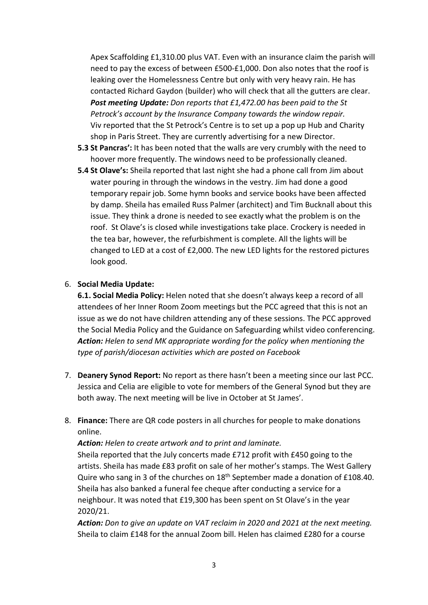Apex Scaffolding £1,310.00 plus VAT. Even with an insurance claim the parish will need to pay the excess of between £500-£1,000. Don also notes that the roof is leaking over the Homelessness Centre but only with very heavy rain. He has contacted Richard Gaydon (builder) who will check that all the gutters are clear. Post meeting Update: Don reports that £1,472.00 has been paid to the St Petrock's account by the Insurance Company towards the window repair. Viv reported that the St Petrock's Centre is to set up a pop up Hub and Charity shop in Paris Street. They are currently advertising for a new Director.

- 5.3 St Pancras': It has been noted that the walls are very crumbly with the need to hoover more frequently. The windows need to be professionally cleaned.
- 5.4 St Olave's: Sheila reported that last night she had a phone call from Jim about water pouring in through the windows in the vestry. Jim had done a good temporary repair job. Some hymn books and service books have been affected by damp. Sheila has emailed Russ Palmer (architect) and Tim Bucknall about this issue. They think a drone is needed to see exactly what the problem is on the roof. St Olave's is closed while investigations take place. Crockery is needed in the tea bar, however, the refurbishment is complete. All the lights will be changed to LED at a cost of £2,000. The new LED lights for the restored pictures look good.

### 6. Social Media Update:

6.1. Social Media Policy: Helen noted that she doesn't always keep a record of all attendees of her Inner Room Zoom meetings but the PCC agreed that this is not an issue as we do not have children attending any of these sessions. The PCC approved the Social Media Policy and the Guidance on Safeguarding whilst video conferencing. Action: Helen to send MK appropriate wording for the policy when mentioning the type of parish/diocesan activities which are posted on Facebook

- 7. Deanery Synod Report: No report as there hasn't been a meeting since our last PCC. Jessica and Celia are eligible to vote for members of the General Synod but they are both away. The next meeting will be live in October at St James'.
- 8. Finance: There are QR code posters in all churches for people to make donations online.

Action: Helen to create artwork and to print and laminate.

Sheila reported that the July concerts made £712 profit with £450 going to the artists. Sheila has made £83 profit on sale of her mother's stamps. The West Gallery Quire who sang in 3 of the churches on 18<sup>th</sup> September made a donation of £108.40. Sheila has also banked a funeral fee cheque after conducting a service for a neighbour. It was noted that £19,300 has been spent on St Olave's in the year 2020/21.

Action: Don to give an update on VAT reclaim in 2020 and 2021 at the next meeting. Sheila to claim £148 for the annual Zoom bill. Helen has claimed £280 for a course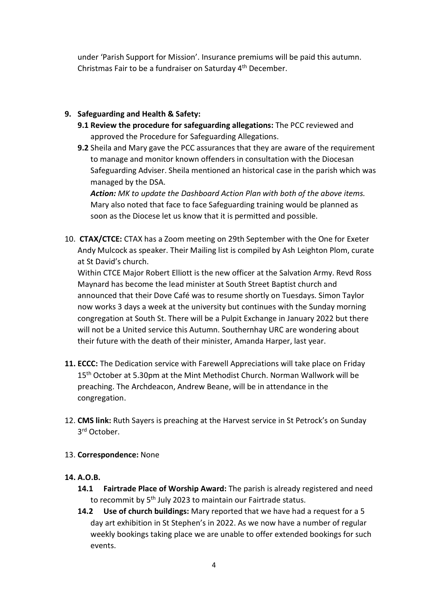under 'Parish Support for Mission'. Insurance premiums will be paid this autumn. Christmas Fair to be a fundraiser on Saturday 4th December.

# 9. Safeguarding and Health & Safety:

- 9.1 Review the procedure for safeguarding allegations: The PCC reviewed and approved the Procedure for Safeguarding Allegations.
- 9.2 Sheila and Mary gave the PCC assurances that they are aware of the requirement to manage and monitor known offenders in consultation with the Diocesan Safeguarding Adviser. Sheila mentioned an historical case in the parish which was managed by the DSA.

Action: MK to update the Dashboard Action Plan with both of the above items. Mary also noted that face to face Safeguarding training would be planned as soon as the Diocese let us know that it is permitted and possible.

10. CTAX/CTCE: CTAX has a Zoom meeting on 29th September with the One for Exeter Andy Mulcock as speaker. Their Mailing list is compiled by Ash Leighton Plom, curate at St David's church.

Within CTCE Major Robert Elliott is the new officer at the Salvation Army. Revd Ross Maynard has become the lead minister at South Street Baptist church and announced that their Dove Café was to resume shortly on Tuesdays. Simon Taylor now works 3 days a week at the university but continues with the Sunday morning congregation at South St. There will be a Pulpit Exchange in January 2022 but there will not be a United service this Autumn. Southernhay URC are wondering about their future with the death of their minister, Amanda Harper, last year.

- 11. ECCC: The Dedication service with Farewell Appreciations will take place on Friday 15<sup>th</sup> October at 5.30pm at the Mint Methodist Church. Norman Wallwork will be preaching. The Archdeacon, Andrew Beane, will be in attendance in the congregation.
- 12. CMS link: Ruth Sayers is preaching at the Harvest service in St Petrock's on Sunday 3 rd October.

## 13. Correspondence: None

## 14. A.O.B.

- 14.1 Fairtrade Place of Worship Award: The parish is already registered and need to recommit by 5<sup>th</sup> July 2023 to maintain our Fairtrade status.
- 14.2 Use of church buildings: Mary reported that we have had a request for a 5 day art exhibition in St Stephen's in 2022. As we now have a number of regular weekly bookings taking place we are unable to offer extended bookings for such events.